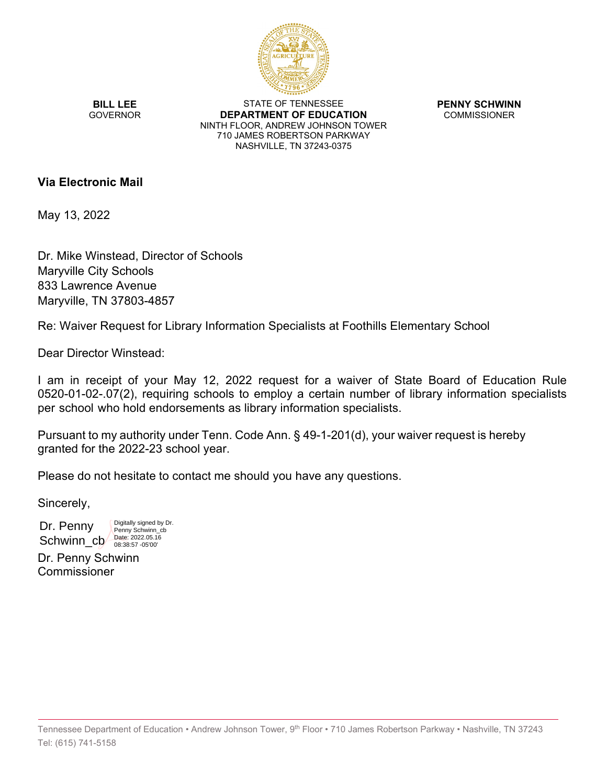

**BILL LEE GOVERNOR** 

STATE OF TENNESSEE **DEPARTMENT OF EDUCATION** NINTH FLOOR, ANDREW JOHNSON TOWER 710 JAMES ROBERTSON PARKWAY NASHVILLE, TN 37243-0375

**PENNY SCHWINN COMMISSIONER** 

# **Via Electronic Mail**

May 13, 2022

Dr. Mike Winstead, Director of Schools Maryville City Schools 833 Lawrence Avenue Maryville, TN 37803-4857

> Digitally signed by Dr. Penny Schwinn\_cb

Re: Waiver Request for Library Information Specialists at Foothills Elementary School

Dear Director Winstead:

I am in receipt of your May 12, 2022 request for a waiver of State Board of Education Rule 0520-01-02-.07(2), requiring schools to employ a certain number of library information specialists per school who hold endorsements as library information specialists.

Pursuant to my authority under Tenn. Code Ann. § 49-1-201(d), your waiver request is hereby granted for the 2022-23 school year.

Please do not hesitate to contact me should you have any questions.

Sincerely,

Dr. Penny Schwinn\_cb Date: 2022.05.16

Dr. Penny Schwinn **Commissioner**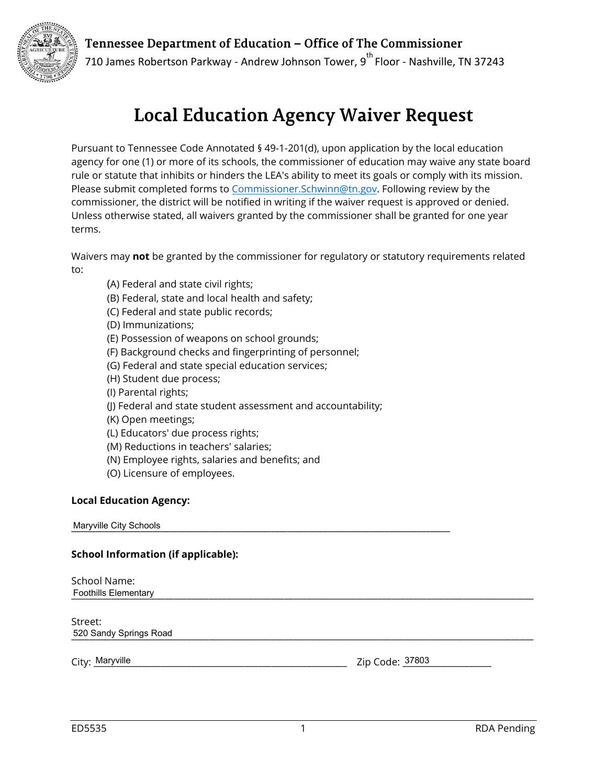Tennessee Department of Education - Office of The Commissioner



710 James Robertson Parkway - Andrew Johnson Tower,  $9^{th}$  Floor - Nashville, TN 37243

# **Local Education Agency Waiver Request**

Pursuant to Tennessee Code Annotated § 49-1-201(d), upon application by the local education agency for one (1) or more of its schools, the commissioner of education may waive any state board rule or statute that inhibits or hinders the LEA's ability to meet its goals or comply with its mission. Please submit completed forms to [Commissioner.Schwinn@tn.gov](mailto:Commissioner.Schwinn@tn.gov). Following review by the commissioner, the district will be notified in writing if the waiver request is approved or denied. Unless otherwise stated, all waivers granted by the commissioner shall be granted for one year terms.

Waivers may **not** be granted by the commissioner for regulatory or statutory requirements related to:

- (A) Federal and state civil rights;
- (B) Federal, state and local health and safety;
- (C) Federal and state public records;
- (D) Immunizations;
- (E) Possession of weapons on school grounds;
- (F) Background checks and fingerprinting of personnel;
- (G) Federal and state special education services;
- (H) Student due process;
- (I) Parental rights;
- (J) Federal and state student assessment and accountability;
- (K) Open meetings;
- (L) Educators' due process rights;
- (M) Reductions in teachers' salaries;
- (N) Employee rights, salaries and benefits; and
- (O) Licensure of employees.

## **Local Education Agency:**

**Maryville City Schools** 

### **School Information (if applicable):**

School Name: \_\_\_\_\_\_\_\_\_\_\_\_\_\_\_\_\_\_\_\_\_\_\_\_\_\_\_\_\_\_\_\_\_\_\_\_\_\_\_\_\_\_\_\_\_\_\_\_\_\_\_\_\_\_\_\_\_\_\_\_\_\_\_\_\_\_\_\_\_\_\_\_\_\_\_\_\_\_\_\_\_\_\_\_\_\_\_\_\_\_\_\_\_\_\_\_\_\_\_\_\_\_\_\_ Foothills Elementary

Street: 520 Sandy Springs Road **Figure 20 Structure 20 Sandy Springs Road** 

City: \_\_\_\_\_\_\_\_\_\_\_\_\_\_\_\_\_\_\_\_\_\_\_\_\_\_\_\_\_\_\_\_\_\_\_\_\_\_\_\_\_\_\_\_\_\_\_\_\_\_\_\_\_\_\_\_\_ Zip Code: \_\_\_\_\_\_\_\_\_\_\_\_\_\_\_\_\_\_\_\_ Maryville 37803